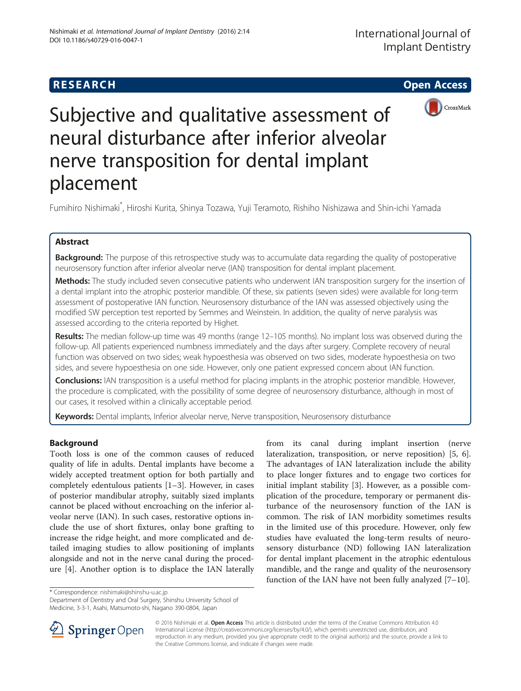# **RESEARCH CHE Open Access**



Subjective and qualitative assessment of neural disturbance after inferior alveolar nerve transposition for dental implant placement

Fumihiro Nishimaki<sup>\*</sup>, Hiroshi Kurita, Shinya Tozawa, Yuji Teramoto, Rishiho Nishizawa and Shin-ichi Yamada

## Abstract

Background: The purpose of this retrospective study was to accumulate data regarding the quality of postoperative neurosensory function after inferior alveolar nerve (IAN) transposition for dental implant placement.

Methods: The study included seven consecutive patients who underwent IAN transposition surgery for the insertion of a dental implant into the atrophic posterior mandible. Of these, six patients (seven sides) were available for long-term assessment of postoperative IAN function. Neurosensory disturbance of the IAN was assessed objectively using the modified SW perception test reported by Semmes and Weinstein. In addition, the quality of nerve paralysis was assessed according to the criteria reported by Highet.

Results: The median follow-up time was 49 months (range 12-105 months). No implant loss was observed during the follow-up. All patients experienced numbness immediately and the days after surgery. Complete recovery of neural function was observed on two sides; weak hypoesthesia was observed on two sides, moderate hypoesthesia on two sides, and severe hypoesthesia on one side. However, only one patient expressed concern about IAN function.

Conclusions: IAN transposition is a useful method for placing implants in the atrophic posterior mandible. However, the procedure is complicated, with the possibility of some degree of neurosensory disturbance, although in most of our cases, it resolved within a clinically acceptable period.

Keywords: Dental implants, Inferior alveolar nerve, Nerve transposition, Neurosensory disturbance

## Background

Tooth loss is one of the common causes of reduced quality of life in adults. Dental implants have become a widely accepted treatment option for both partially and completely edentulous patients [[1](#page-4-0)–[3\]](#page-4-0). However, in cases of posterior mandibular atrophy, suitably sized implants cannot be placed without encroaching on the inferior alveolar nerve (IAN). In such cases, restorative options include the use of short fixtures, onlay bone grafting to increase the ridge height, and more complicated and detailed imaging studies to allow positioning of implants alongside and not in the nerve canal during the procedure [\[4](#page-4-0)]. Another option is to displace the IAN laterally

from its canal during implant insertion (nerve lateralization, transposition, or nerve reposition) [[5, 6](#page-4-0)]. The advantages of IAN lateralization include the ability to place longer fixtures and to engage two cortices for initial implant stability [\[3](#page-4-0)]. However, as a possible complication of the procedure, temporary or permanent disturbance of the neurosensory function of the IAN is common. The risk of IAN morbidity sometimes results in the limited use of this procedure. However, only few studies have evaluated the long-term results of neurosensory disturbance (ND) following IAN lateralization for dental implant placement in the atrophic edentulous mandible, and the range and quality of the neurosensory function of the IAN have not been fully analyzed [\[7](#page-4-0)–[10\]](#page-4-0).

\* Correspondence: [nishimaki@shinshu-u.ac.jp](mailto:nishimaki@shinshu-u.ac.jp)

Department of Dentistry and Oral Surgery, Shinshu University School of Medicine, 3-3-1, Asahi, Matsumoto-shi, Nagano 390-0804, Japan



© 2016 Nishimaki et al. Open Access This article is distributed under the terms of the Creative Commons Attribution 4.0 International License ([http://creativecommons.org/licenses/by/4.0/\)](http://creativecommons.org/licenses/by/4.0/), which permits unrestricted use, distribution, and reproduction in any medium, provided you give appropriate credit to the original author(s) and the source, provide a link to the Creative Commons license, and indicate if changes were made.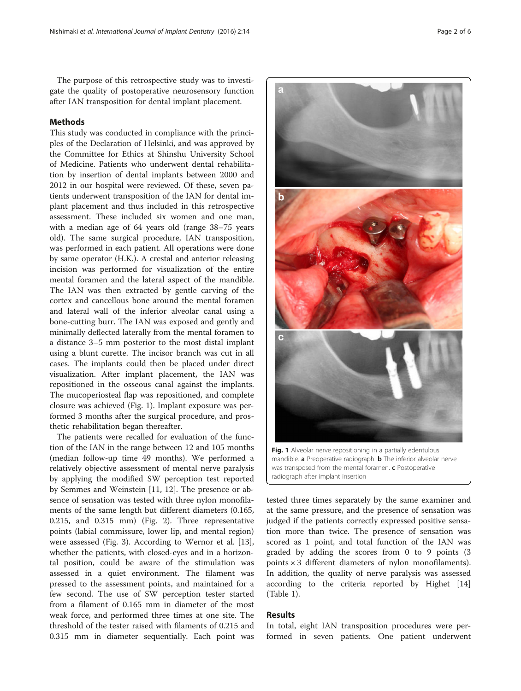The purpose of this retrospective study was to investigate the quality of postoperative neurosensory function after IAN transposition for dental implant placement.

### Methods

This study was conducted in compliance with the principles of the Declaration of Helsinki, and was approved by the Committee for Ethics at Shinshu University School of Medicine. Patients who underwent dental rehabilitation by insertion of dental implants between 2000 and 2012 in our hospital were reviewed. Of these, seven patients underwent transposition of the IAN for dental implant placement and thus included in this retrospective assessment. These included six women and one man, with a median age of 64 years old (range 38–75 years old). The same surgical procedure, IAN transposition, was performed in each patient. All operations were done by same operator (H.K.). A crestal and anterior releasing incision was performed for visualization of the entire mental foramen and the lateral aspect of the mandible. The IAN was then extracted by gentle carving of the cortex and cancellous bone around the mental foramen and lateral wall of the inferior alveolar canal using a bone-cutting burr. The IAN was exposed and gently and minimally deflected laterally from the mental foramen to a distance 3–5 mm posterior to the most distal implant using a blunt curette. The incisor branch was cut in all cases. The implants could then be placed under direct visualization. After implant placement, the IAN was repositioned in the osseous canal against the implants. The mucoperiosteal flap was repositioned, and complete closure was achieved (Fig. 1). Implant exposure was performed 3 months after the surgical procedure, and prosthetic rehabilitation began thereafter.

The patients were recalled for evaluation of the function of the IAN in the range between 12 and 105 months (median follow-up time 49 months). We performed a relatively objective assessment of mental nerve paralysis by applying the modified SW perception test reported by Semmes and Weinstein [\[11, 12](#page-4-0)]. The presence or absence of sensation was tested with three nylon monofilaments of the same length but different diameters (0.165, 0.215, and 0.315 mm) (Fig. [2](#page-2-0)). Three representative points (labial commissure, lower lip, and mental region) were assessed (Fig. [3\)](#page-2-0). According to Wernor et al. [\[13](#page-5-0)], whether the patients, with closed-eyes and in a horizontal position, could be aware of the stimulation was assessed in a quiet environment. The filament was pressed to the assessment points, and maintained for a few second. The use of SW perception tester started from a filament of 0.165 mm in diameter of the most weak force, and performed three times at one site. The threshold of the tester raised with filaments of 0.215 and 0.315 mm in diameter sequentially. Each point was



was transposed from the mental foramen. c Postoperative radiograph after implant insertion

tested three times separately by the same examiner and at the same pressure, and the presence of sensation was judged if the patients correctly expressed positive sensation more than twice. The presence of sensation was scored as 1 point, and total function of the IAN was graded by adding the scores from 0 to 9 points (3 points × 3 different diameters of nylon monofilaments). In addition, the quality of nerve paralysis was assessed according to the criteria reported by Highet [[14](#page-5-0)] (Table [1\)](#page-2-0).

## Results

In total, eight IAN transposition procedures were performed in seven patients. One patient underwent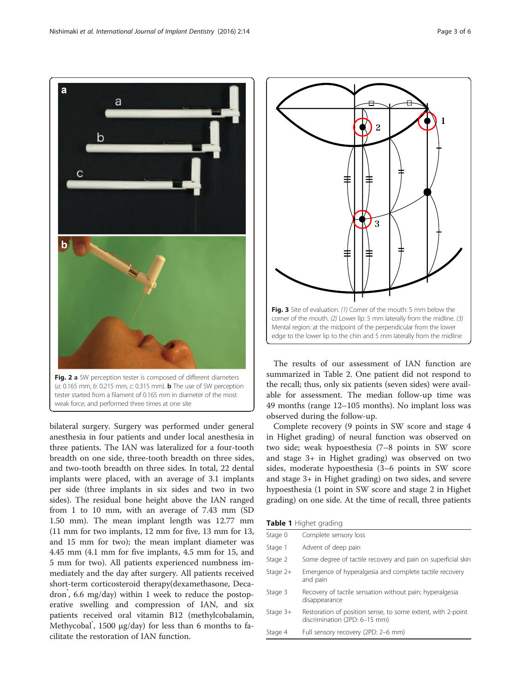<span id="page-2-0"></span>

bilateral surgery. Surgery was performed under general anesthesia in four patients and under local anesthesia in three patients. The IAN was lateralized for a four-tooth breadth on one side, three-tooth breadth on three sides, and two-tooth breadth on three sides. In total, 22 dental implants were placed, with an average of 3.1 implants per side (three implants in six sides and two in two sides). The residual bone height above the IAN ranged from 1 to 10 mm, with an average of 7.43 mm (SD 1.50 mm). The mean implant length was 12.77 mm (11 mm for two implants, 12 mm for five, 13 mm for 13, and 15 mm for two); the mean implant diameter was 4.45 mm (4.1 mm for five implants, 4.5 mm for 15, and 5 mm for two). All patients experienced numbness immediately and the day after surgery. All patients received short-term corticosteroid therapy(dexamethasone, Decadron<sup>\*</sup>, 6.6 mg/day) within 1 week to reduce the postoperative swelling and compression of IAN, and six patients received oral vitamin B12 (methylcobalamin, Methycobal<sup>®</sup>, 1500 μg/day) for less than 6 months to facilitate the restoration of IAN function.



The results of our assessment of IAN function are summarized in Table [2.](#page-3-0) One patient did not respond to the recall; thus, only six patients (seven sides) were available for assessment. The median follow-up time was 49 months (range 12–105 months). No implant loss was observed during the follow-up.

Complete recovery (9 points in SW score and stage 4 in Highet grading) of neural function was observed on two side; weak hypoesthesia (7–8 points in SW score and stage 3+ in Highet grading) was observed on two sides, moderate hypoesthesia (3–6 points in SW score and stage 3+ in Highet grading) on two sides, and severe hypoesthesia (1 point in SW score and stage 2 in Highet grading) on one side. At the time of recall, three patients

Table 1 Highet grading

| Stage 0    | Complete sensory loss                                                                        |
|------------|----------------------------------------------------------------------------------------------|
| Stage 1    | Advent of deep pain                                                                          |
| Stage 2    | Some degree of tactile recovery and pain on superficial skin                                 |
| Stage $2+$ | Emergence of hyperalgesia and complete tactile recovery<br>and pain                          |
| Stage 3    | Recovery of tactile sensation without pain; hyperalgesia<br>disappearance                    |
| Stage $3+$ | Restoration of position sense, to some extent, with 2-point<br>discrimination (2PD: 6-15 mm) |
| Stage 4    | Full sensory recovery (2PD: 2-6 mm)                                                          |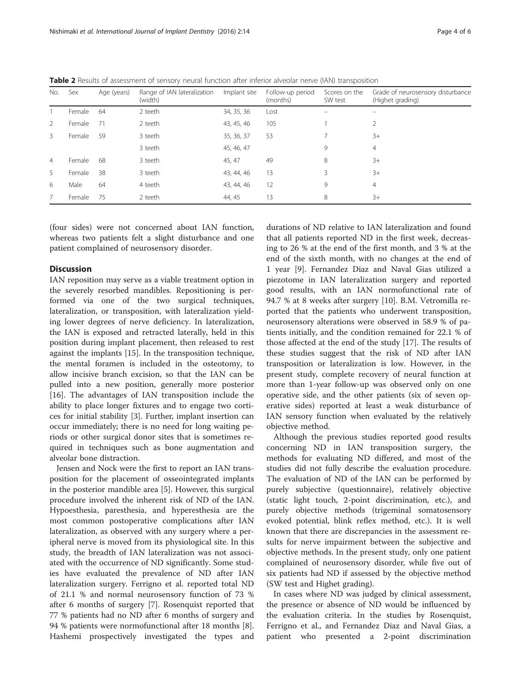| No. | Sex    | Age (years) | Range of IAN lateralization<br>(width) | Implant site | Follow-up period<br>(months) | Scores on the<br>SW test | Grade of neurosensory disturbance<br>(Highet grading) |
|-----|--------|-------------|----------------------------------------|--------------|------------------------------|--------------------------|-------------------------------------------------------|
|     | Female | 64          | 2 teeth                                | 34, 35, 36   | Lost                         |                          |                                                       |
| 2   | Female | -71         | 2 teeth                                | 43, 45, 46   | 105                          |                          | 2                                                     |
| 3   | Female | 59          | 3 teeth                                | 35, 36, 37   | 53                           |                          | $3+$                                                  |
|     |        |             | 3 teeth                                | 45, 46, 47   |                              | 9                        | $\overline{4}$                                        |
| 4   | Female | 68          | 3 teeth                                | 45, 47       | 49                           | 8                        | $3+$                                                  |
| 5   | Female | 38          | 3 teeth                                | 43, 44, 46   | 13                           | 3                        | $3+$                                                  |
| 6   | Male   | 64          | 4 teeth                                | 43, 44, 46   | 12                           | 9                        | $\overline{4}$                                        |
| 7   | Female | 75          | 2 teeth                                | 44, 45       | 13                           | 8                        | $3+$                                                  |

<span id="page-3-0"></span>Table 2 Results of assessment of sensory neural function after inferior alveolar nerve (IAN) transposition

(four sides) were not concerned about IAN function, whereas two patients felt a slight disturbance and one patient complained of neurosensory disorder.

### **Discussion**

IAN reposition may serve as a viable treatment option in the severely resorbed mandibles. Repositioning is performed via one of the two surgical techniques, lateralization, or transposition, with lateralization yielding lower degrees of nerve deficiency. In lateralization, the IAN is exposed and retracted laterally, held in this position during implant placement, then released to rest against the implants [[15\]](#page-5-0). In the transposition technique, the mental foramen is included in the osteotomy, to allow incisive branch excision, so that the IAN can be pulled into a new position, generally more posterior [[16\]](#page-5-0). The advantages of IAN transposition include the ability to place longer fixtures and to engage two cortices for initial stability [[3\]](#page-4-0). Further, implant insertion can occur immediately; there is no need for long waiting periods or other surgical donor sites that is sometimes required in techniques such as bone augmentation and alveolar bone distraction.

Jensen and Nock were the first to report an IAN transposition for the placement of osseointegrated implants in the posterior mandible area [\[5\]](#page-4-0). However, this surgical procedure involved the inherent risk of ND of the IAN. Hypoesthesia, paresthesia, and hyperesthesia are the most common postoperative complications after IAN lateralization, as observed with any surgery where a peripheral nerve is moved from its physiological site. In this study, the breadth of IAN lateralization was not associated with the occurrence of ND significantly. Some studies have evaluated the prevalence of ND after IAN lateralization surgery. Ferrigno et al. reported total ND of 21.1 % and normal neurosensory function of 73 % after 6 months of surgery [\[7](#page-4-0)]. Rosenquist reported that 77 % patients had no ND after 6 months of surgery and 94 % patients were normofunctional after 18 months [\[8](#page-4-0)]. Hashemi prospectively investigated the types and

durations of ND relative to IAN lateralization and found that all patients reported ND in the first week, decreasing to 26 % at the end of the first month, and 3 % at the end of the sixth month, with no changes at the end of 1 year [\[9\]](#page-4-0). Fernandez Diaz and Naval Gias utilized a piezotome in IAN lateralization surgery and reported good results, with an IAN normofunctional rate of 94.7 % at 8 weeks after surgery [[10](#page-4-0)]. B.M. Vetromilla reported that the patients who underwent transposition, neurosensory alterations were observed in 58.9 % of patients initially, and the condition remained for 22.1 % of those affected at the end of the study [[17](#page-5-0)]. The results of these studies suggest that the risk of ND after IAN transposition or lateralization is low. However, in the present study, complete recovery of neural function at more than 1-year follow-up was observed only on one operative side, and the other patients (six of seven operative sides) reported at least a weak disturbance of IAN sensory function when evaluated by the relatively objective method.

Although the previous studies reported good results concerning ND in IAN transposition surgery, the methods for evaluating ND differed, and most of the studies did not fully describe the evaluation procedure. The evaluation of ND of the IAN can be performed by purely subjective (questionnaire), relatively objective (static light touch, 2-point discrimination, etc.), and purely objective methods (trigeminal somatosensory evoked potential, blink reflex method, etc.). It is well known that there are discrepancies in the assessment results for nerve impairment between the subjective and objective methods. In the present study, only one patient complained of neurosensory disorder, while five out of six patients had ND if assessed by the objective method (SW test and Highet grading).

In cases where ND was judged by clinical assessment, the presence or absence of ND would be influenced by the evaluation criteria. In the studies by Rosenquist, Ferrigno et al., and Fernandez Diaz and Naval Gias, a patient who presented a 2-point discrimination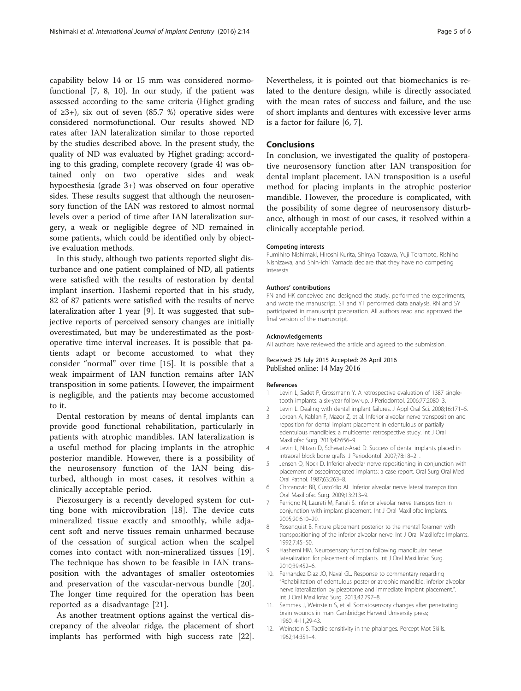<span id="page-4-0"></span>capability below 14 or 15 mm was considered normofunctional [7, 8, 10]. In our study, if the patient was assessed according to the same criteria (Highet grading of ≥3+), six out of seven (85.7 %) operative sides were considered normofunctional. Our results showed ND rates after IAN lateralization similar to those reported by the studies described above. In the present study, the quality of ND was evaluated by Highet grading; according to this grading, complete recovery (grade 4) was obtained only on two operative sides and weak hypoesthesia (grade 3+) was observed on four operative sides. These results suggest that although the neurosensory function of the IAN was restored to almost normal levels over a period of time after IAN lateralization surgery, a weak or negligible degree of ND remained in some patients, which could be identified only by objective evaluation methods.

In this study, although two patients reported slight disturbance and one patient complained of ND, all patients were satisfied with the results of restoration by dental implant insertion. Hashemi reported that in his study, 82 of 87 patients were satisfied with the results of nerve lateralization after 1 year [9]. It was suggested that subjective reports of perceived sensory changes are initially overestimated, but may be underestimated as the postoperative time interval increases. It is possible that patients adapt or become accustomed to what they consider "normal" over time [[15\]](#page-5-0). It is possible that a weak impairment of IAN function remains after IAN transposition in some patients. However, the impairment is negligible, and the patients may become accustomed to it.

Dental restoration by means of dental implants can provide good functional rehabilitation, particularly in patients with atrophic mandibles. IAN lateralization is a useful method for placing implants in the atrophic posterior mandible. However, there is a possibility of the neurosensory function of the IAN being disturbed, although in most cases, it resolves within a clinically acceptable period.

Piezosurgery is a recently developed system for cutting bone with microvibration [[18\]](#page-5-0). The device cuts mineralized tissue exactly and smoothly, while adjacent soft and nerve tissues remain unharmed because of the cessation of surgical action when the scalpel comes into contact with non-mineralized tissues [\[19](#page-5-0)]. The technique has shown to be feasible in IAN transposition with the advantages of smaller osteotomies and preservation of the vascular-nervous bundle [\[20](#page-5-0)]. The longer time required for the operation has been reported as a disadvantage [\[21](#page-5-0)].

As another treatment options against the vertical discrepancy of the alveolar ridge, the placement of short implants has performed with high success rate [\[22](#page-5-0)]. Nevertheless, it is pointed out that biomechanics is related to the denture design, while is directly associated with the mean rates of success and failure, and the use of short implants and dentures with excessive lever arms is a factor for failure [6, 7].

### Conclusions

In conclusion, we investigated the quality of postoperative neurosensory function after IAN transposition for dental implant placement. IAN transposition is a useful method for placing implants in the atrophic posterior mandible. However, the procedure is complicated, with the possibility of some degree of neurosensory disturbance, although in most of our cases, it resolved within a clinically acceptable period.

#### Competing interests

Fumihiro Nishimaki, Hiroshi Kurita, Shinya Tozawa, Yuji Teramoto, Rishiho Nishizawa, and Shin-ichi Yamada declare that they have no competing interests.

#### Authors' contributions

FN and HK conceived and designed the study, performed the experiments, and wrote the manuscript. ST and YT performed data analysis. RN and SY participated in manuscript preparation. All authors read and approved the final version of the manuscript.

#### Acknowledgements

All authors have reviewed the article and agreed to the submission.

#### Received: 25 July 2015 Accepted: 26 April 2016 Published online: 14 May 2016

#### References

- 1. Levin L, Sadet P, Grossmann Y. A retrospective evaluation of 1387 singletooth implants: a six-year follow-up. J Periodontol. 2006;77:2080–3.
- 2. Levin L. Dealing with dental implant failures. J Appl Oral Sci. 2008;16:171–5.
- 3. Lorean A, Kablan F, Mazor Z, et al. Inferior alveolar nerve transposition and reposition for dental implant placement in edentulous or partially edentulous mandibles: a multicenter retrospective study. Int J Oral Maxillofac Surg. 2013;42:656–9.
- 4. Levin L, Nitzan D, Schwartz-Arad D. Success of dental implants placed in intraoral block bone grafts. J Periodontol. 2007;78:18–21.
- 5. Jensen O, Nock D. Inferior alveolar nerve repositioning in conjunction with placement of osseointegrated implants: a case report. Oral Surg Oral Med Oral Pathol. 1987;63:263–8.
- 6. Chrcanovic BR, Custo'dio AL. Inferior alveolar nerve lateral transposition. Oral Maxillofac Surg. 2009;13:213–9.
- 7. Ferrigno N, Laureti M, Fanali S. Inferior alveolar nerve transposition in conjunction with implant placement. Int J Oral Maxillofac Implants. 2005;20:610–20.
- 8. Rosenquist B. Fixture placement posterior to the mental foramen with transpositioning of the inferior alveolar nerve. Int J Oral Maxillofac Implants. 1992;7:45–50.
- 9. Hashemi HM. Neurosensory function following mandibular nerve lateralization for placement of implants. Int J Oral Maxillofac Surg. 2010;39:452–6.
- 10. Fernandez Diaz JO, Naval GL. Response to commentary regarding "Rehabilitation of edentulous posterior atrophic mandible: inferior alveolar nerve lateralization by piezotome and immediate implant placement.". Int J Oral Maxillofac Surg. 2013;42:797–8.
- 11. Semmes J, Weinstein S, et al. Somatosensory changes after penetrating brain wounds in man. Cambridge: Harverd University press; 1960. 4-11,29-43.
- 12. Weinstein S. Tactile sensitivity in the phalanges. Percept Mot Skills. 1962;14:351–4.